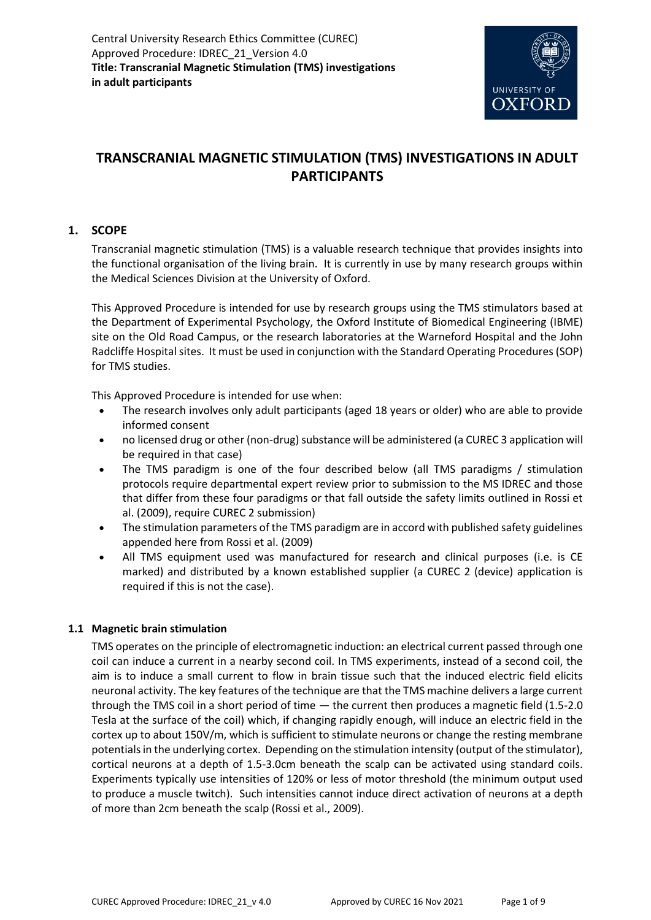

# **TRANSCRANIAL MAGNETIC STIMULATION (TMS) INVESTIGATIONS IN ADULT PARTICIPANTS**

# **1. SCOPE**

Transcranial magnetic stimulation (TMS) is a valuable research technique that provides insights into the functional organisation of the living brain. It is currently in use by many research groups within the Medical Sciences Division at the University of Oxford.

This Approved Procedure is intended for use by research groups using the TMS stimulators based at the Department of Experimental Psychology, the Oxford Institute of Biomedical Engineering (IBME) site on the Old Road Campus, or the research laboratories at the Warneford Hospital and the John Radcliffe Hospital sites. It must be used in conjunction with the Standard Operating Procedures (SOP) for TMS studies.

This Approved Procedure is intended for use when:

- The research involves only adult participants (aged 18 years or older) who are able to provide informed consent
- no licensed drug or other (non-drug) substance will be administered (a CUREC 3 application will be required in that case)
- The TMS paradigm is one of the four described below (all TMS paradigms / stimulation protocols require departmental expert review prior to submission to the MS IDREC and those that differ from these four paradigms or that fall outside the safety limits outlined in Rossi et al. (2009), require CUREC 2 submission)
- The stimulation parameters of the TMS paradigm are in accord with published safety guidelines appended here from Rossi et al. (2009)
- All TMS equipment used was manufactured for research and clinical purposes (i.e. is CE marked) and distributed by a known established supplier (a CUREC 2 (device) application is required if this is not the case).

# **1.1 Magnetic brain stimulation**

TMS operates on the principle of electromagnetic induction: an electrical current passed through one coil can induce a current in a nearby second coil. In TMS experiments, instead of a second coil, the aim is to induce a small current to flow in brain tissue such that the induced electric field elicits neuronal activity. The key features of the technique are that the TMS machine delivers a large current through the TMS coil in a short period of time — the current then produces a magnetic field (1.5-2.0 Tesla at the surface of the coil) which, if changing rapidly enough, will induce an electric field in the cortex up to about 150V/m, which is sufficient to stimulate neurons or change the resting membrane potentials in the underlying cortex. Depending on the stimulation intensity (output of the stimulator), cortical neurons at a depth of 1.5-3.0cm beneath the scalp can be activated using standard coils. Experiments typically use intensities of 120% or less of motor threshold (the minimum output used to produce a muscle twitch). Such intensities cannot induce direct activation of neurons at a depth of more than 2cm beneath the scalp (Rossi et al., 2009).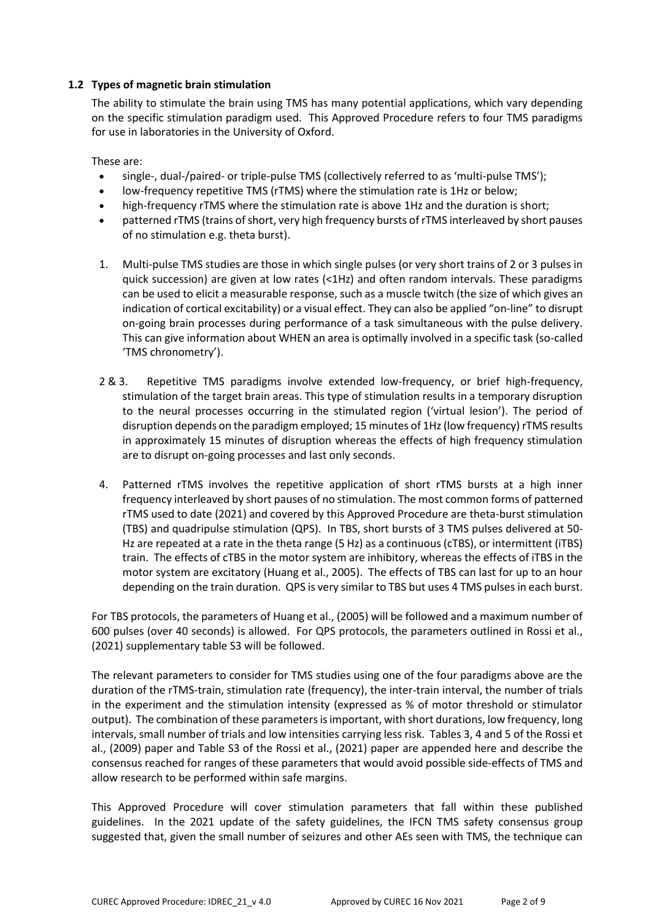## **1.2 Types of magnetic brain stimulation**

The ability to stimulate the brain using TMS has many potential applications, which vary depending on the specific stimulation paradigm used. This Approved Procedure refers to four TMS paradigms for use in laboratories in the University of Oxford.

These are:

- single-, dual-/paired- or triple-pulse TMS (collectively referred to as 'multi-pulse TMS');
- low-frequency repetitive TMS (rTMS) where the stimulation rate is 1Hz or below;
- high-frequency rTMS where the stimulation rate is above 1Hz and the duration is short;
- patterned rTMS (trains of short, very high frequency bursts of rTMS interleaved by short pauses of no stimulation e.g. theta burst).
- 1. Multi-pulse TMS studies are those in which single pulses (or very short trains of 2 or 3 pulses in quick succession) are given at low rates (<1Hz) and often random intervals. These paradigms can be used to elicit a measurable response, such as a muscle twitch (the size of which gives an indication of cortical excitability) or a visual effect. They can also be applied "on-line" to disrupt on-going brain processes during performance of a task simultaneous with the pulse delivery. This can give information about WHEN an area is optimally involved in a specific task (so-called 'TMS chronometry').
- 2 & 3. Repetitive TMS paradigms involve extended low-frequency, or brief high-frequency, stimulation of the target brain areas. This type of stimulation results in a temporary disruption to the neural processes occurring in the stimulated region ('virtual lesion'). The period of disruption depends on the paradigm employed; 15 minutes of 1Hz (low frequency) rTMS results in approximately 15 minutes of disruption whereas the effects of high frequency stimulation are to disrupt on-going processes and last only seconds.
- 4. Patterned rTMS involves the repetitive application of short rTMS bursts at a high inner frequency interleaved by short pauses of no stimulation. The most common forms of patterned rTMS used to date (2021) and covered by this Approved Procedure are theta-burst stimulation (TBS) and quadripulse stimulation (QPS). In TBS, short bursts of 3 TMS pulses delivered at 50- Hz are repeated at a rate in the theta range (5 Hz) as a continuous (cTBS), or intermittent (iTBS) train. The effects of cTBS in the motor system are inhibitory, whereas the effects of iTBS in the motor system are excitatory (Huang et al., 2005). The effects of TBS can last for up to an hour depending on the train duration. QPS is very similar to TBS but uses 4 TMS pulses in each burst.

For TBS protocols, the parameters of Huang et al., (2005) will be followed and a maximum number of 600 pulses (over 40 seconds) is allowed. For QPS protocols, the parameters outlined in Rossi et al., (2021) supplementary table S3 will be followed.

The relevant parameters to consider for TMS studies using one of the four paradigms above are the duration of the rTMS-train, stimulation rate (frequency), the inter-train interval, the number of trials in the experiment and the stimulation intensity (expressed as % of motor threshold or stimulator output). The combination of these parameters is important, with short durations, low frequency, long intervals, small number of trials and low intensities carrying less risk. Tables 3, 4 and 5 of the Rossi et al., (2009) paper and Table S3 of the Rossi et al., (2021) paper are appended here and describe the consensus reached for ranges of these parameters that would avoid possible side-effects of TMS and allow research to be performed within safe margins.

This Approved Procedure will cover stimulation parameters that fall within these published guidelines. In the 2021 update of the safety guidelines, the IFCN TMS safety consensus group suggested that, given the small number of seizures and other AEs seen with TMS, the technique can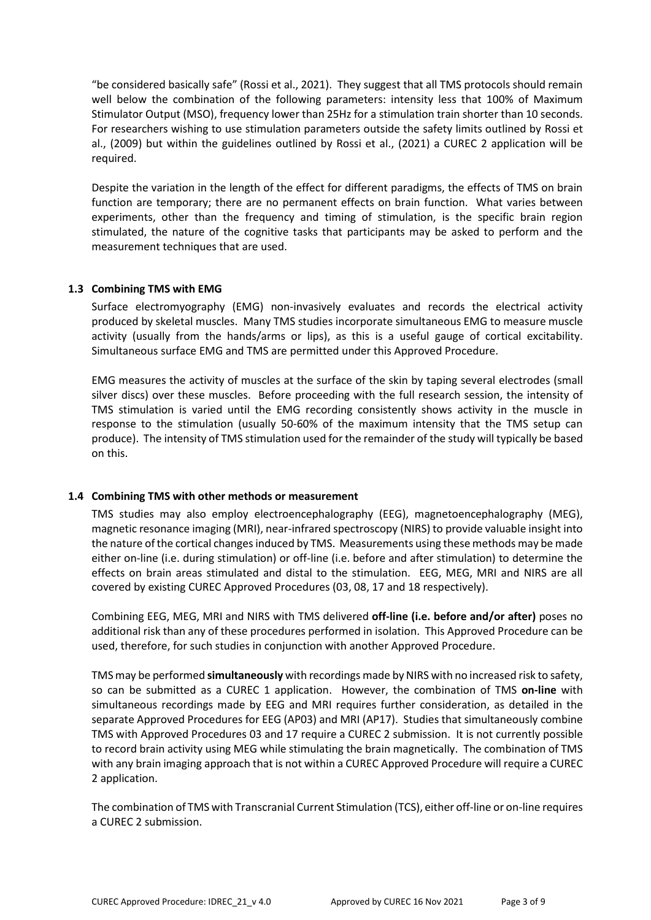"be considered basically safe" (Rossi et al., 2021). They suggest that all TMS protocols should remain well below the combination of the following parameters: intensity less that 100% of Maximum Stimulator Output (MSO), frequency lower than 25Hz for a stimulation train shorter than 10 seconds. For researchers wishing to use stimulation parameters outside the safety limits outlined by Rossi et al., (2009) but within the guidelines outlined by Rossi et al., (2021) a CUREC 2 application will be required.

Despite the variation in the length of the effect for different paradigms, the effects of TMS on brain function are temporary; there are no permanent effects on brain function. What varies between experiments, other than the frequency and timing of stimulation, is the specific brain region stimulated, the nature of the cognitive tasks that participants may be asked to perform and the measurement techniques that are used.

### **1.3 Combining TMS with EMG**

Surface electromyography (EMG) non-invasively evaluates and records the electrical activity produced by skeletal muscles. Many TMS studies incorporate simultaneous EMG to measure muscle activity (usually from the hands/arms or lips), as this is a useful gauge of cortical excitability. Simultaneous surface EMG and TMS are permitted under this Approved Procedure.

EMG measures the activity of muscles at the surface of the skin by taping several electrodes (small silver discs) over these muscles. Before proceeding with the full research session, the intensity of TMS stimulation is varied until the EMG recording consistently shows activity in the muscle in response to the stimulation (usually 50-60% of the maximum intensity that the TMS setup can produce). The intensity of TMS stimulation used for the remainder of the study will typically be based on this.

### **1.4 Combining TMS with other methods or measurement**

TMS studies may also employ electroencephalography (EEG), magnetoencephalography (MEG), magnetic resonance imaging (MRI), near-infrared spectroscopy (NIRS) to provide valuable insight into the nature of the cortical changes induced by TMS. Measurements using these methods may be made either on-line (i.e. during stimulation) or off-line (i.e. before and after stimulation) to determine the effects on brain areas stimulated and distal to the stimulation. EEG, MEG, MRI and NIRS are all covered by existing CUREC Approved Procedures (03, 08, 17 and 18 respectively).

Combining EEG, MEG, MRI and NIRS with TMS delivered **off-line (i.e. before and/or after)** poses no additional risk than any of these procedures performed in isolation. This Approved Procedure can be used, therefore, for such studies in conjunction with another Approved Procedure.

TMS may be performed **simultaneously** with recordings made by NIRS with no increased risk to safety, so can be submitted as a CUREC 1 application. However, the combination of TMS **on-line** with simultaneous recordings made by EEG and MRI requires further consideration, as detailed in the separate Approved Procedures for EEG (AP03) and MRI (AP17). Studies that simultaneously combine TMS with Approved Procedures 03 and 17 require a CUREC 2 submission. It is not currently possible to record brain activity using MEG while stimulating the brain magnetically. The combination of TMS with any brain imaging approach that is not within a CUREC Approved Procedure will require a CUREC 2 application.

The combination of TMS with Transcranial Current Stimulation (TCS), either off-line or on-line requires a CUREC 2 submission.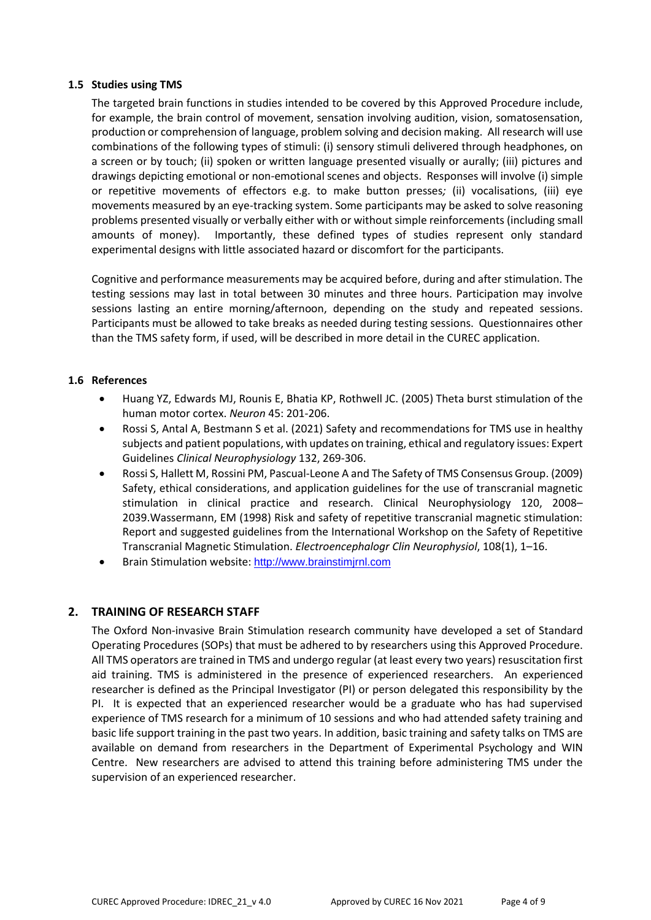### **1.5 Studies using TMS**

The targeted brain functions in studies intended to be covered by this Approved Procedure include, for example, the brain control of movement, sensation involving audition, vision, somatosensation, production or comprehension of language, problem solving and decision making. All research will use combinations of the following types of stimuli: (i) sensory stimuli delivered through headphones, on a screen or by touch; (ii) spoken or written language presented visually or aurally; (iii) pictures and drawings depicting emotional or non-emotional scenes and objects. Responses will involve (i) simple or repetitive movements of effectors e.g. to make button presses*;* (ii) vocalisations, (iii) eye movements measured by an eye-tracking system. Some participants may be asked to solve reasoning problems presented visually or verbally either with or without simple reinforcements (including small amounts of money). Importantly, these defined types of studies represent only standard experimental designs with little associated hazard or discomfort for the participants.

Cognitive and performance measurements may be acquired before, during and after stimulation. The testing sessions may last in total between 30 minutes and three hours. Participation may involve sessions lasting an entire morning/afternoon, depending on the study and repeated sessions. Participants must be allowed to take breaks as needed during testing sessions. Questionnaires other than the TMS safety form, if used, will be described in more detail in the CUREC application.

### **1.6 References**

- Huang YZ, Edwards MJ, Rounis E, Bhatia KP, Rothwell JC. (2005) Theta burst stimulation of the human motor cortex. *Neuron* 45: 201-206.
- Rossi S, Antal A, Bestmann S et al. (2021) Safety and recommendations for TMS use in healthy subjects and patient populations, with updates on training, ethical and regulatory issues: Expert Guidelines *Clinical Neurophysiology* 132, 269-306.
- Rossi S, Hallett M, Rossini PM, Pascual-Leone A and The Safety of TMS Consensus Group. (2009) Safety, ethical considerations, and application guidelines for the use of transcranial magnetic stimulation in clinical practice and research. Clinical Neurophysiology 120, 2008– 2039.Wassermann, EM (1998) Risk and safety of repetitive transcranial magnetic stimulation: Report and suggested guidelines from the International Workshop on the Safety of Repetitive Transcranial Magnetic Stimulation. *Electroencephalogr Clin Neurophysiol*, 108(1), 1–16.
- Brain Stimulation website: [http://www.brainstimjrnl.com](http://www.brainstimjrnl.com/)

# **2. TRAINING OF RESEARCH STAFF**

The Oxford Non-invasive Brain Stimulation research community have developed a set of Standard Operating Procedures (SOPs) that must be adhered to by researchers using this Approved Procedure. All TMS operators are trained in TMS and undergo regular (at least every two years) resuscitation first aid training. TMS is administered in the presence of experienced researchers. An experienced researcher is defined as the Principal Investigator (PI) or person delegated this responsibility by the PI. It is expected that an experienced researcher would be a graduate who has had supervised experience of TMS research for a minimum of 10 sessions and who had attended safety training and basic life support training in the past two years. In addition, basic training and safety talks on TMS are available on demand from researchers in the Department of Experimental Psychology and WIN Centre. New researchers are advised to attend this training before administering TMS under the supervision of an experienced researcher.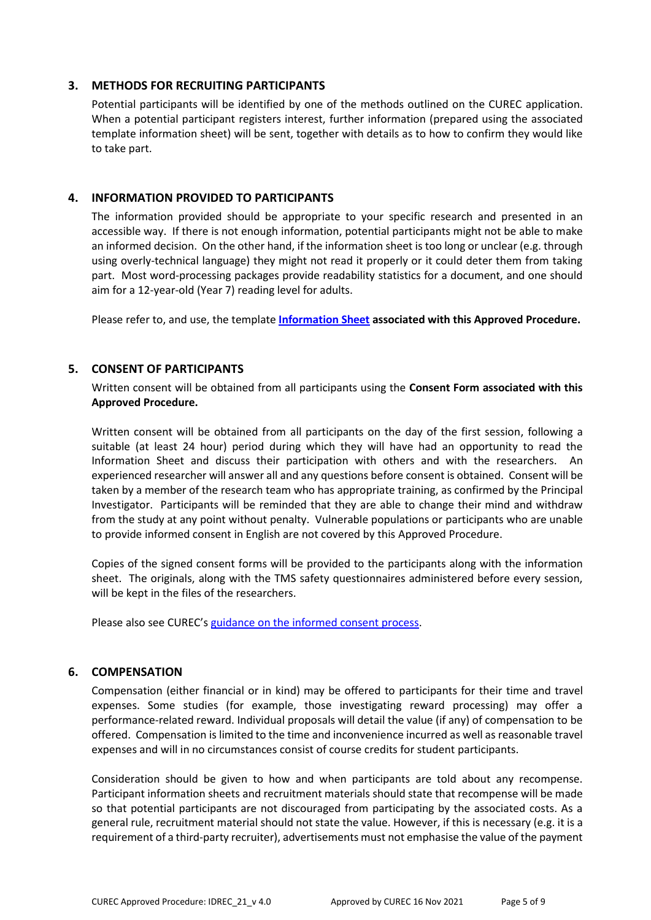## **3. METHODS FOR RECRUITING PARTICIPANTS**

Potential participants will be identified by one of the methods outlined on the CUREC application. When a potential participant registers interest, further information (prepared using the associated template information sheet) will be sent, together with details as to how to confirm they would like to take part.

## **4. INFORMATION PROVIDED TO PARTICIPANTS**

The information provided should be appropriate to your specific research and presented in an accessible way. If there is not enough information, potential participants might not be able to make an informed decision. On the other hand, if the information sheet is too long or unclear (e.g. through using overly-technical language) they might not read it properly or it could deter them from taking part. Most word-processing packages provide readability statistics for a document, and one should aim for a 12-year-old (Year 7) reading level for adults.

Please refer to, and use, the template **[Information Sheet](http://researchsupport.admin.ox.ac.uk/governance/ethics/resources/ap#collapse2-7) associated with this Approved Procedure.**

## **5. CONSENT OF PARTICIPANTS**

Written consent will be obtained from all participants using the **Consent Form associated with this Approved Procedure.**

Written consent will be obtained from all participants on the day of the first session, following a suitable (at least 24 hour) period during which they will have had an opportunity to read the Information Sheet and discuss their participation with others and with the researchers. An experienced researcher will answer all and any questions before consent is obtained. Consent will be taken by a member of the research team who has appropriate training, as confirmed by the Principal Investigator. Participants will be reminded that they are able to change their mind and withdraw from the study at any point without penalty. Vulnerable populations or participants who are unable to provide informed consent in English are not covered by this Approved Procedure.

Copies of the signed consent forms will be provided to the participants along with the information sheet. The originals, along with the TMS safety questionnaires administered before every session, will be kept in the files of the researchers.

Please also see CUREC's [guidance on the informed consent process.](http://researchsupport.admin.ox.ac.uk/governance/ethics/resources/consent)

### **6. COMPENSATION**

Compensation (either financial or in kind) may be offered to participants for their time and travel expenses. Some studies (for example, those investigating reward processing) may offer a performance-related reward. Individual proposals will detail the value (if any) of compensation to be offered. Compensation is limited to the time and inconvenience incurred as well as reasonable travel expenses and will in no circumstances consist of course credits for student participants.

Consideration should be given to how and when participants are told about any recompense. Participant information sheets and recruitment materials should state that recompense will be made so that potential participants are not discouraged from participating by the associated costs. As a general rule, recruitment material should not state the value. However, if this is necessary (e.g. it is a requirement of a third-party recruiter), advertisements must not emphasise the value of the payment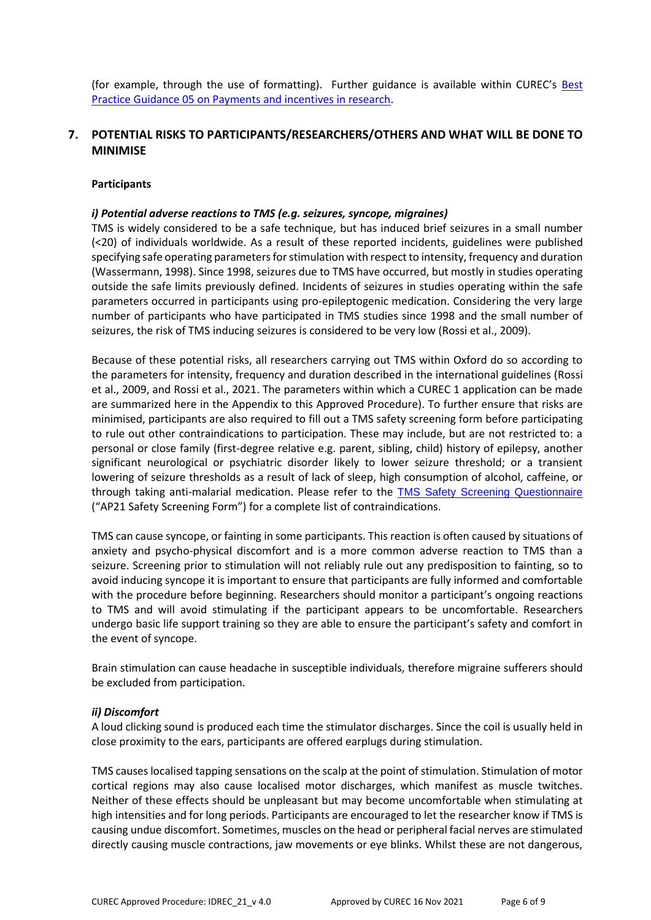(for example, through the use of formatting). Further guidance is available within CUREC's **Best** [Practice Guidance 05 on Payments and incentives in research.](https://researchsupport.admin.ox.ac.uk/governance/ethics/resources/bpg)

# **7. POTENTIAL RISKS TO PARTICIPANTS/RESEARCHERS/OTHERS AND WHAT WILL BE DONE TO MINIMISE**

#### **Participants**

#### *i) Potential adverse reactions to TMS (e.g. seizures, syncope, migraines)*

TMS is widely considered to be a safe technique, but has induced brief seizures in a small number (<20) of individuals worldwide. As a result of these reported incidents, guidelines were published specifying safe operating parameters for stimulation with respect to intensity, frequency and duration (Wassermann, 1998). Since 1998, seizures due to TMS have occurred, but mostly in studies operating outside the safe limits previously defined. Incidents of seizures in studies operating within the safe parameters occurred in participants using pro-epileptogenic medication. Considering the very large number of participants who have participated in TMS studies since 1998 and the small number of seizures, the risk of TMS inducing seizures is considered to be very low (Rossi et al., 2009).

Because of these potential risks, all researchers carrying out TMS within Oxford do so according to the parameters for intensity, frequency and duration described in the international guidelines (Rossi et al., 2009, and Rossi et al., 2021. The parameters within which a CUREC 1 application can be made are summarized here in the Appendix to this Approved Procedure). To further ensure that risks are minimised, participants are also required to fill out a TMS safety screening form before participating to rule out other contraindications to participation. These may include, but are not restricted to: a personal or close family (first-degree relative e.g. parent, sibling, child) history of epilepsy, another significant neurological or psychiatric disorder likely to lower seizure threshold; or a transient lowering of seizure thresholds as a result of lack of sleep, high consumption of alcohol, caffeine, or through taking anti-malarial medication. Please refer to the [TMS Safety Screening Questionnaire](https://researchsupport.admin.ox.ac.uk/governance/ethics/resources/ap#collapse397191) ("AP21 Safety Screening Form") for a complete list of contraindications.

TMS can cause syncope, or fainting in some participants. This reaction is often caused by situations of anxiety and psycho-physical discomfort and is a more common adverse reaction to TMS than a seizure. Screening prior to stimulation will not reliably rule out any predisposition to fainting, so to avoid inducing syncope it is important to ensure that participants are fully informed and comfortable with the procedure before beginning. Researchers should monitor a participant's ongoing reactions to TMS and will avoid stimulating if the participant appears to be uncomfortable. Researchers undergo basic life support training so they are able to ensure the participant's safety and comfort in the event of syncope.

Brain stimulation can cause headache in susceptible individuals, therefore migraine sufferers should be excluded from participation.

#### *ii) Discomfort*

A loud clicking sound is produced each time the stimulator discharges. Since the coil is usually held in close proximity to the ears, participants are offered earplugs during stimulation.

TMS causes localised tapping sensations on the scalp at the point of stimulation. Stimulation of motor cortical regions may also cause localised motor discharges, which manifest as muscle twitches. Neither of these effects should be unpleasant but may become uncomfortable when stimulating at high intensities and for long periods. Participants are encouraged to let the researcher know if TMS is causing undue discomfort. Sometimes, muscles on the head or peripheral facial nerves are stimulated directly causing muscle contractions, jaw movements or eye blinks. Whilst these are not dangerous,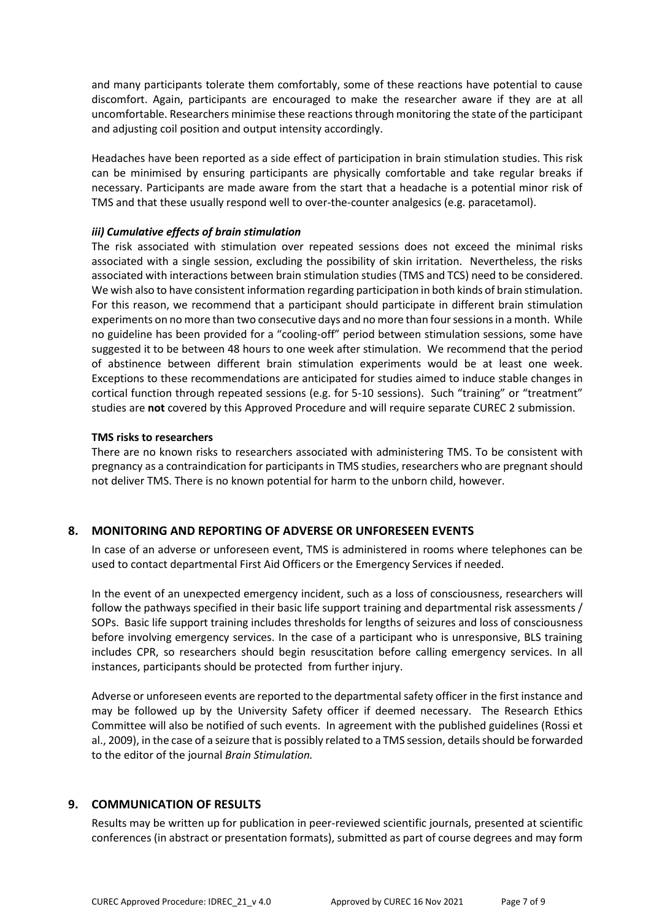and many participants tolerate them comfortably, some of these reactions have potential to cause discomfort. Again, participants are encouraged to make the researcher aware if they are at all uncomfortable. Researchers minimise these reactions through monitoring the state of the participant and adjusting coil position and output intensity accordingly.

Headaches have been reported as a side effect of participation in brain stimulation studies. This risk can be minimised by ensuring participants are physically comfortable and take regular breaks if necessary. Participants are made aware from the start that a headache is a potential minor risk of TMS and that these usually respond well to over-the-counter analgesics (e.g. paracetamol).

## *iii) Cumulative effects of brain stimulation*

The risk associated with stimulation over repeated sessions does not exceed the minimal risks associated with a single session, excluding the possibility of skin irritation. Nevertheless, the risks associated with interactions between brain stimulation studies (TMS and TCS) need to be considered. We wish also to have consistent information regarding participation in both kinds of brain stimulation. For this reason, we recommend that a participant should participate in different brain stimulation experiments on no more than two consecutive days and no more than four sessions in a month. While no guideline has been provided for a "cooling-off" period between stimulation sessions, some have suggested it to be between 48 hours to one week after stimulation. We recommend that the period of abstinence between different brain stimulation experiments would be at least one week. Exceptions to these recommendations are anticipated for studies aimed to induce stable changes in cortical function through repeated sessions (e.g. for 5-10 sessions). Such "training" or "treatment" studies are **not** covered by this Approved Procedure and will require separate CUREC 2 submission.

### **TMS risks to researchers**

There are no known risks to researchers associated with administering TMS. To be consistent with pregnancy as a contraindication for participants in TMS studies, researchers who are pregnant should not deliver TMS. There is no known potential for harm to the unborn child, however.

# **8. MONITORING AND REPORTING OF ADVERSE OR UNFORESEEN EVENTS**

In case of an adverse or unforeseen event, TMS is administered in rooms where telephones can be used to contact departmental First Aid Officers or the Emergency Services if needed.

In the event of an unexpected emergency incident, such as a loss of consciousness, researchers will follow the pathways specified in their basic life support training and departmental risk assessments / SOPs. Basic life support training includes thresholds for lengths of seizures and loss of consciousness before involving emergency services. In the case of a participant who is unresponsive, BLS training includes CPR, so researchers should begin resuscitation before calling emergency services. In all instances, participants should be protected from further injury.

Adverse or unforeseen events are reported to the departmental safety officer in the first instance and may be followed up by the University Safety officer if deemed necessary. The Research Ethics Committee will also be notified of such events. In agreement with the published guidelines (Rossi et al., 2009), in the case of a seizure that is possibly related to a TMS session, details should be forwarded to the editor of the journal *Brain Stimulation.*

# **9. COMMUNICATION OF RESULTS**

Results may be written up for publication in peer-reviewed scientific journals, presented at scientific conferences (in abstract or presentation formats), submitted as part of course degrees and may form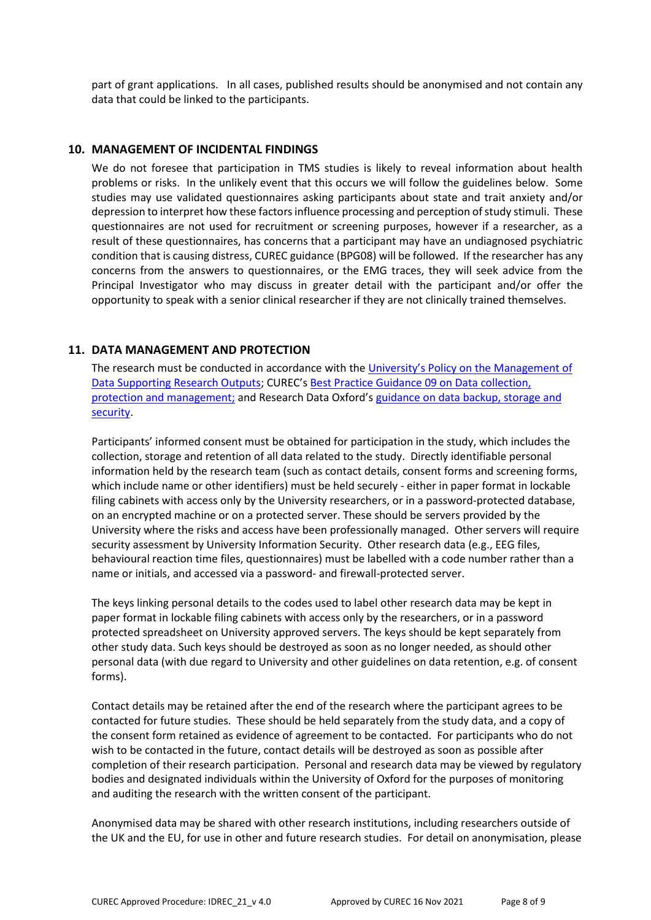part of grant applications. In all cases, published results should be anonymised and not contain any data that could be linked to the participants.

#### **10. MANAGEMENT OF INCIDENTAL FINDINGS**

We do not foresee that participation in TMS studies is likely to reveal information about health problems or risks. In the unlikely event that this occurs we will follow the guidelines below. Some studies may use validated questionnaires asking participants about state and trait anxiety and/or depression to interpret how these factors influence processing and perception of study stimuli. These questionnaires are not used for recruitment or screening purposes, however if a researcher, as a result of these questionnaires, has concerns that a participant may have an undiagnosed psychiatric condition that is causing distress, CUREC guidance (BPG08) will be followed. If the researcher has any concerns from the answers to questionnaires, or the EMG traces, they will seek advice from the Principal Investigator who may discuss in greater detail with the participant and/or offer the opportunity to speak with a senior clinical researcher if they are not clinically trained themselves.

#### **11. DATA MANAGEMENT AND PROTECTION**

The research must be conducted in accordance with the [University's Policy on the](hhttps://researchdata.ox.ac.uk/university-of-oxford-policy-on-the-management-of-data-supporting-research-outputs/) Management of [Data Supporting Research Outputs;](hhttps://researchdata.ox.ac.uk/university-of-oxford-policy-on-the-management-of-data-supporting-research-outputs/) CUREC's [Best Practice Guidance 09 on Data collection,](https://researchsupport.admin.ox.ac.uk/governance/ethics/resources/bpg)  [protection and management;](https://researchsupport.admin.ox.ac.uk/governance/ethics/resources/bpg) and Research Data Oxford's [guidance on data backup, storage and](https://researchdata.ox.ac.uk/home/managing-your-data-at-oxford/storage-and-backup)  [security.](https://researchdata.ox.ac.uk/home/managing-your-data-at-oxford/storage-and-backup)

Participants' informed consent must be obtained for participation in the study, which includes the collection, storage and retention of all data related to the study. Directly identifiable personal information held by the research team (such as contact details, consent forms and screening forms, which include name or other identifiers) must be held securely - either in paper format in lockable filing cabinets with access only by the University researchers, or in a password-protected database, on an encrypted machine or on a protected server. These should be servers provided by the University where the risks and access have been professionally managed. Other servers will require security assessment by University Information Security. Other research data (e.g., EEG files, behavioural reaction time files, questionnaires) must be labelled with a code number rather than a name or initials, and accessed via a password- and firewall-protected server.

The keys linking personal details to the codes used to label other research data may be kept in paper format in lockable filing cabinets with access only by the researchers, or in a password protected spreadsheet on University approved servers. The keys should be kept separately from other study data. Such keys should be destroyed as soon as no longer needed, as should other personal data (with due regard to University and other guidelines on data retention, e.g. of consent forms).

Contact details may be retained after the end of the research where the participant agrees to be contacted for future studies. These should be held separately from the study data, and a copy of the consent form retained as evidence of agreement to be contacted. For participants who do not wish to be contacted in the future, contact details will be destroyed as soon as possible after completion of their research participation. Personal and research data may be viewed by regulatory bodies and designated individuals within the University of Oxford for the purposes of monitoring and auditing the research with the written consent of the participant.

Anonymised data may be shared with other research institutions, including researchers outside of the UK and the EU, for use in other and future research studies. For detail on anonymisation, please